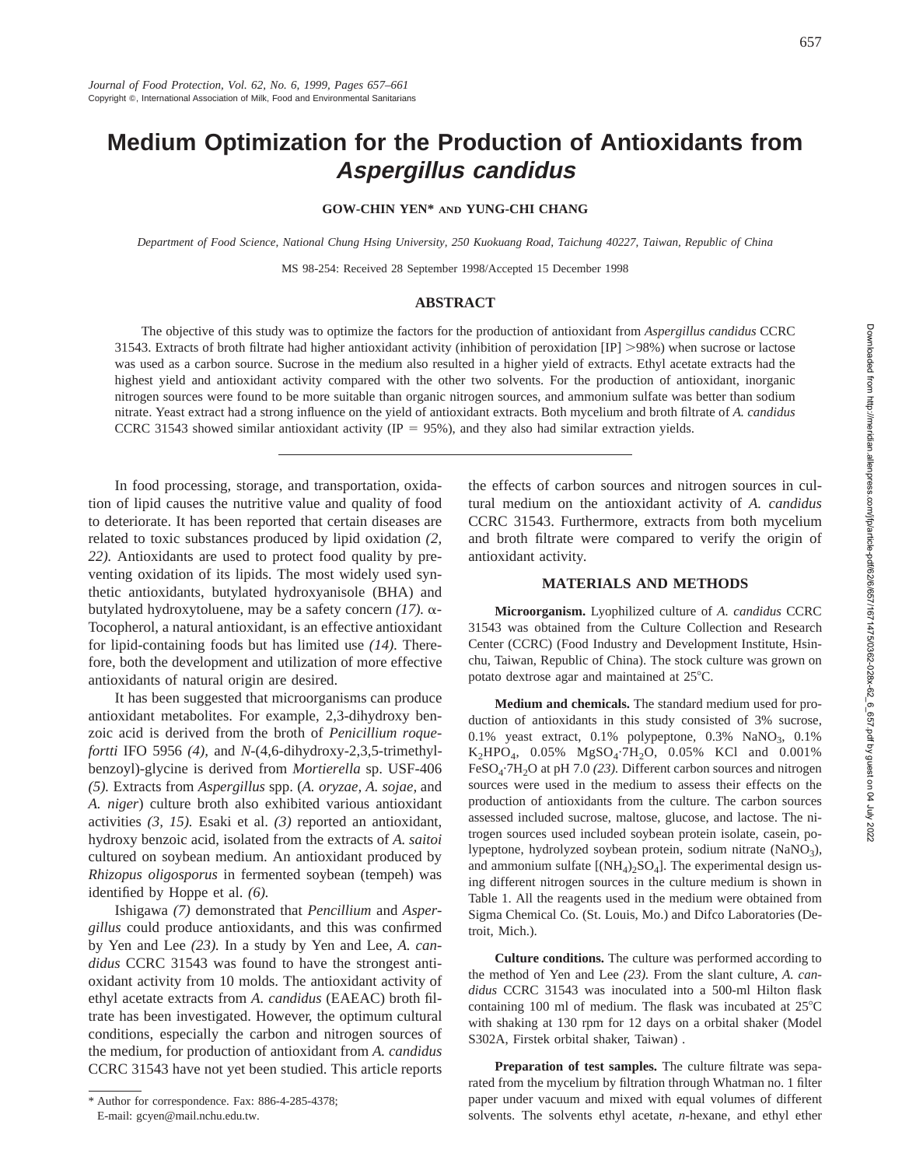# **Medium Optimization for the Production of Antioxidants from Aspergillus candidus**

**GOW-CHIN YEN\* AND YUNG-CHI CHANG**

*Department of Food Science, National Chung Hsing University, 250 Kuokuang Road, Taichung 40227, Taiwan, Republic of China*

MS 98-254: Received 28 September 1998/Accepted 15 December 1998

#### **ABSTRACT**

The objective of this study was to optimize the factors for the production of antioxidant from *Aspergillus candidus* CCRC 31543. Extracts of broth filtrate had higher antioxidant activity (inhibition of peroxidation [IP] >98%) when sucrose or lactose was used as a carbon source. Sucrose in the medium also resulted in a higher yield of extracts. Ethyl acetate extracts had the highest yield and antioxidant activity compared with the other two solvents. For the production of antioxidant, inorganic nitrogen sources were found to be more suitable than organic nitrogen sources, and ammonium sulfate was better than sodium nitrate. Yeast extract had a strong influence on the yield of antioxidant extracts. Both mycelium and broth filtrate of *A. candidus* CCRC 31543 showed similar antioxidant activity ( $IP = 95\%$ ), and they also had similar extraction yields.

In food processing, storage, and transportation, oxidation of lipid causes the nutritive value and quality of food to deteriorate. It has been reported that certain diseases are related to toxic substances produced by lipid oxidation *(2, 22).* Antioxidants are used to protect food quality by preventing oxidation of its lipids. The most widely used synthetic antioxidants, butylated hydroxyanisole (BHA) and butylated hydroxytoluene, may be a safety concern *(17).* a-Tocopherol, a natural antioxidant, is an effective antioxidant for lipid-containing foods but has limited use *(14).* Therefore, both the development and utilization of more effective antioxidants of natural origin are desired.

It has been suggested that microorganisms can produce antioxidant metabolites. For example, 2,3-dihydroxy benzoic acid is derived from the broth of *Penicillium roquefortti* IFO 5956 *(4),* and *N*-(4,6-dihydroxy-2,3,5-trimethylbenzoyl)-glycine is derived from *Mortierella* sp. USF-406 *(5).* Extracts from *Aspergillus* spp. (*A. oryzae, A. sojae,* and *A. niger*) culture broth also exhibited various antioxidant activities *(3, 15).* Esaki et al. *(3)* reported an antioxidant, hydroxy benzoic acid, isolated from the extracts of *A. saitoi* cultured on soybean medium. An antioxidant produced by *Rhizopus oligosporus* in fermented soybean (tempeh) was identified by Hoppe et al. *(6).*

Ishigawa *(7)* demonstrated that *Pencillium* and *Aspergillus* could produce antioxidants, and this was confirmed by Yen and Lee *(23).* In a study by Yen and Lee, *A. candidus* CCRC 31543 was found to have the strongest antioxidant activity from 10 molds. The antioxidant activity of ethyl acetate extracts from *A. candidus* (EAEAC) broth filtrate has been investigated. However, the optimum cultural conditions, especially the carbon and nitrogen sources of the medium, for production of antioxidant from *A. candidus* CCRC 31543 have not yet been studied. This article reports

the effects of carbon sources and nitrogen sources in cultural medium on the antioxidant activity of *A. candidus* CCRC 31543. Furthermore, extracts from both mycelium and broth filtrate were compared to verify the origin of antioxidant activity.

## **MATERIALS AND METHODS**

**Microorganism.** Lyophilized culture of *A. candidus* CCRC 31543 was obtained from the Culture Collection and Research Center (CCRC) (Food Industry and Development Institute, Hsinchu, Taiwan, Republic of China). The stock culture was grown on potato dextrose agar and maintained at  $25^{\circ}$ C.

**Medium and chemicals.** The standard medium used for production of antioxidants in this study consisted of 3% sucrose, 0.1% yeast extract, 0.1% polypeptone, 0.3% NaNO<sub>3</sub>, 0.1%  $K_2HPO_4$ , 0.05%  $MgSO_4$ ·7H<sub>2</sub>O, 0.05% KCl and 0.001% FeSO4·7H2O at pH 7.0 *(23).* Different carbon sources and nitrogen sources were used in the medium to assess their effects on the production of antioxidants from the culture. The carbon sources assessed included sucrose, maltose, glucose, and lactose. The nitrogen sources used included soybean protein isolate, casein, polypeptone, hydrolyzed soybean protein, sodium nitrate (NaNO<sub>3</sub>), and ammonium sulfate  $[(NH<sub>4</sub>)<sub>2</sub>SO<sub>4</sub>]$ . The experimental design using different nitrogen sources in the culture medium is shown in Table 1. All the reagents used in the medium were obtained from Sigma Chemical Co. (St. Louis, Mo.) and Difco Laboratories (Detroit, Mich.).

**Culture conditions.** The culture was performed according to the method of Yen and Lee *(23).* From the slant culture, *A. candidus* CCRC 31543 was inoculated into a 500-ml Hilton flask containing 100 ml of medium. The flask was incubated at  $25^{\circ}$ C with shaking at 130 rpm for 12 days on a orbital shaker (Model S302A, Firstek orbital shaker, Taiwan) .

**Preparation of test samples.** The culture filtrate was separated from the mycelium by filtration through Whatman no. 1 filter paper under vacuum and mixed with equal volumes of different solvents. The solvents ethyl acetate, *n*-hexane, and ethyl ether

<sup>\*</sup> Author for correspondence. Fax: 886-4-285-4378; E-mail: gcyen@mail.nchu.edu.tw.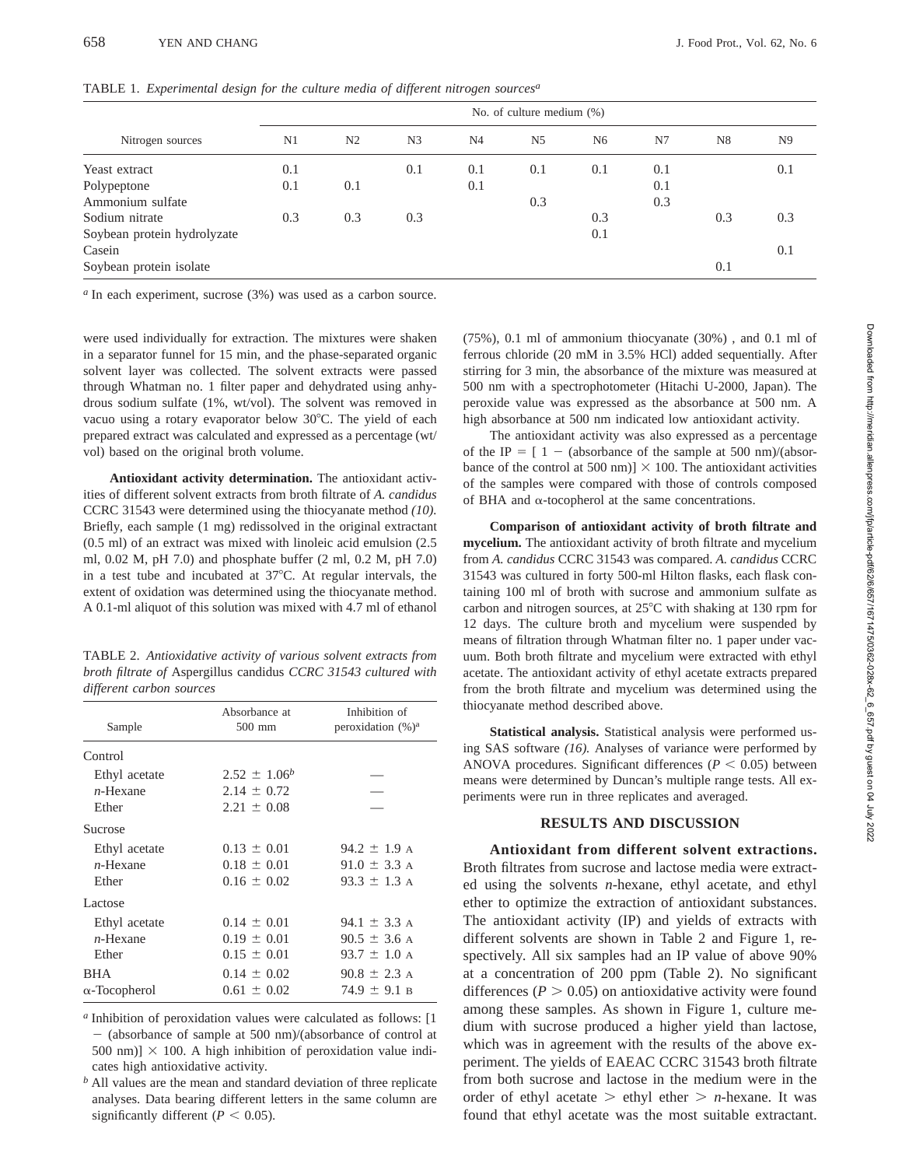| Nitrogen sources            | No. of culture medium $(\%)$ |                |                |                |                |                |     |                |                |  |
|-----------------------------|------------------------------|----------------|----------------|----------------|----------------|----------------|-----|----------------|----------------|--|
|                             | N1                           | N <sub>2</sub> | N <sub>3</sub> | N <sub>4</sub> | N <sub>5</sub> | N <sub>6</sub> | N7  | N <sub>8</sub> | N <sub>9</sub> |  |
| Yeast extract               | 0.1                          |                | 0.1            | 0.1            | 0.1            | 0.1            | 0.1 |                | 0.1            |  |
| Polypeptone                 | 0.1                          | 0.1            |                | 0.1            |                |                | 0.1 |                |                |  |
| Ammonium sulfate            |                              |                |                |                | 0.3            |                | 0.3 |                |                |  |
| Sodium nitrate              | 0.3                          | 0.3            | 0.3            |                |                | 0.3            |     | 0.3            | 0.3            |  |
| Soybean protein hydrolyzate |                              |                |                |                |                | 0.1            |     |                |                |  |
| Casein                      |                              |                |                |                |                |                |     |                | 0.1            |  |
| Soybean protein isolate     |                              |                |                |                |                |                |     | 0.1            |                |  |

TABLE 1. *Experimental design for the culture media of different nitrogen sources<sup>a</sup>*

*<sup>a</sup>* In each experiment, sucrose (3%) was used as a carbon source.

were used individually for extraction. The mixtures were shaken in a separator funnel for 15 min, and the phase-separated organic solvent layer was collected. The solvent extracts were passed through Whatman no. 1 filter paper and dehydrated using anhydrous sodium sulfate (1%, wt/vol). The solvent was removed in vacuo using a rotary evaporator below 30°C. The yield of each prepared extract was calculated and expressed as a percentage (wt/ vol) based on the original broth volume.

**Antioxidant activity determination.** The antioxidant activities of different solvent extracts from broth filtrate of *A. candidus* CCRC 31543 were determined using the thiocyanate method *(10).* Briefly, each sample (1 mg) redissolved in the original extractant (0.5 ml) of an extract was mixed with linoleic acid emulsion (2.5 ml, 0.02 M, pH 7.0) and phosphate buffer (2 ml, 0.2 M, pH 7.0) in a test tube and incubated at  $37^{\circ}$ C. At regular intervals, the extent of oxidation was determined using the thiocyanate method. A 0.1-ml aliquot of this solution was mixed with 4.7 ml of ethanol

TABLE 2. *Antioxidative activity of various solvent extracts from broth filtrate of* Aspergillus candidus *CCRC 31543 cultured with different carbon sources*

| Sample               | Absorbance at<br>500 mm | Inhibition of<br>peroxidation $(\%)^a$ |  |  |
|----------------------|-------------------------|----------------------------------------|--|--|
| Control              |                         |                                        |  |  |
| Ethyl acetate        | $2.52 \pm 1.06^b$       |                                        |  |  |
| $n$ -Hexane          | $2.14 \pm 0.72$         |                                        |  |  |
| Ether                | $2.21 \pm 0.08$         |                                        |  |  |
| Sucrose              |                         |                                        |  |  |
| Ethyl acetate        | $0.13 \pm 0.01$         | $94.2 \pm 1.9$ A                       |  |  |
| $n$ -Hexane          | $0.18 \pm 0.01$         | 91.0 $\pm$ 3.3 A                       |  |  |
| Ether                | $0.16 \pm 0.02$         | 93.3 $\pm$ 1.3 A                       |  |  |
| Lactose              |                         |                                        |  |  |
| Ethyl acetate        | $0.14 \pm 0.01$         | 94.1 $\pm$ 3.3 A                       |  |  |
| $n$ -Hexane          | $0.19 \pm 0.01$         | $90.5 \pm 3.6$ A                       |  |  |
| Ether                | $0.15 \pm 0.01$         | $93.7 \pm 1.0$ A                       |  |  |
| <b>BHA</b>           | $0.14 \pm 0.02$         | $90.8 \pm 2.3$ A                       |  |  |
| $\alpha$ -Tocopherol | $0.61 \pm 0.02$         | $74.9 \pm 9.1$ B                       |  |  |
|                      |                         |                                        |  |  |

*<sup>a</sup>* Inhibition of peroxidation values were calculated as follows: [1  $-$  (absorbance of sample at 500 nm)/(absorbance of control at 500 nm)]  $\times$  100. A high inhibition of peroxidation value indicates high antioxidative activity.

*<sup>b</sup>* All values are the mean and standard deviation of three replicate analyses. Data bearing different letters in the same column are significantly different ( $P < 0.05$ ).

(75%), 0.1 ml of ammonium thiocyanate (30%) , and 0.1 ml of ferrous chloride (20 mM in 3.5% HCl) added sequentially. After stirring for 3 min, the absorbance of the mixture was measured at 500 nm with a spectrophotometer (Hitachi U-2000, Japan). The peroxide value was expressed as the absorbance at 500 nm. A high absorbance at 500 nm indicated low antioxidant activity.

The antioxidant activity was also expressed as a percentage of the IP  $= [ 1 - (absorbance of the sample at 500 nm)/(absor$ bance of the control at 500 nm)]  $\times$  100. The antioxidant activities of the samples were compared with those of controls composed of BHA and  $\alpha$ -tocopherol at the same concentrations.

**Comparison of antioxidant activity of broth filtrate and mycelium.** The antioxidant activity of broth filtrate and mycelium from *A. candidus* CCRC 31543 was compared. *A. candidus* CCRC 31543 was cultured in forty 500-ml Hilton flasks, each flask containing 100 ml of broth with sucrose and ammonium sulfate as carbon and nitrogen sources, at 25°C with shaking at 130 rpm for 12 days. The culture broth and mycelium were suspended by means of filtration through Whatman filter no. 1 paper under vacuum. Both broth filtrate and mycelium were extracted with ethyl acetate. The antioxidant activity of ethyl acetate extracts prepared from the broth filtrate and mycelium was determined using the thiocyanate method described above.

**Statistical analysis.** Statistical analysis were performed using SAS software *(16).* Analyses of variance were performed by ANOVA procedures. Significant differences ( $P < 0.05$ ) between means were determined by Duncan's multiple range tests. All experiments were run in three replicates and averaged.

# **RESULTS AND DISCUSSION**

**Antioxidant from different solvent extractions.** Broth filtrates from sucrose and lactose media were extracted using the solvents *n*-hexane, ethyl acetate, and ethyl ether to optimize the extraction of antioxidant substances. The antioxidant activity (IP) and yields of extracts with different solvents are shown in Table 2 and Figure 1, respectively. All six samples had an IP value of above 90% at a concentration of 200 ppm (Table 2). No significant differences ( $P > 0.05$ ) on antioxidative activity were found among these samples. As shown in Figure 1, culture medium with sucrose produced a higher yield than lactose, which was in agreement with the results of the above experiment. The yields of EAEAC CCRC 31543 broth filtrate from both sucrose and lactose in the medium were in the order of ethyl acetate  $>$  ethyl ether  $>$  *n*-hexane. It was found that ethyl acetate was the most suitable extractant.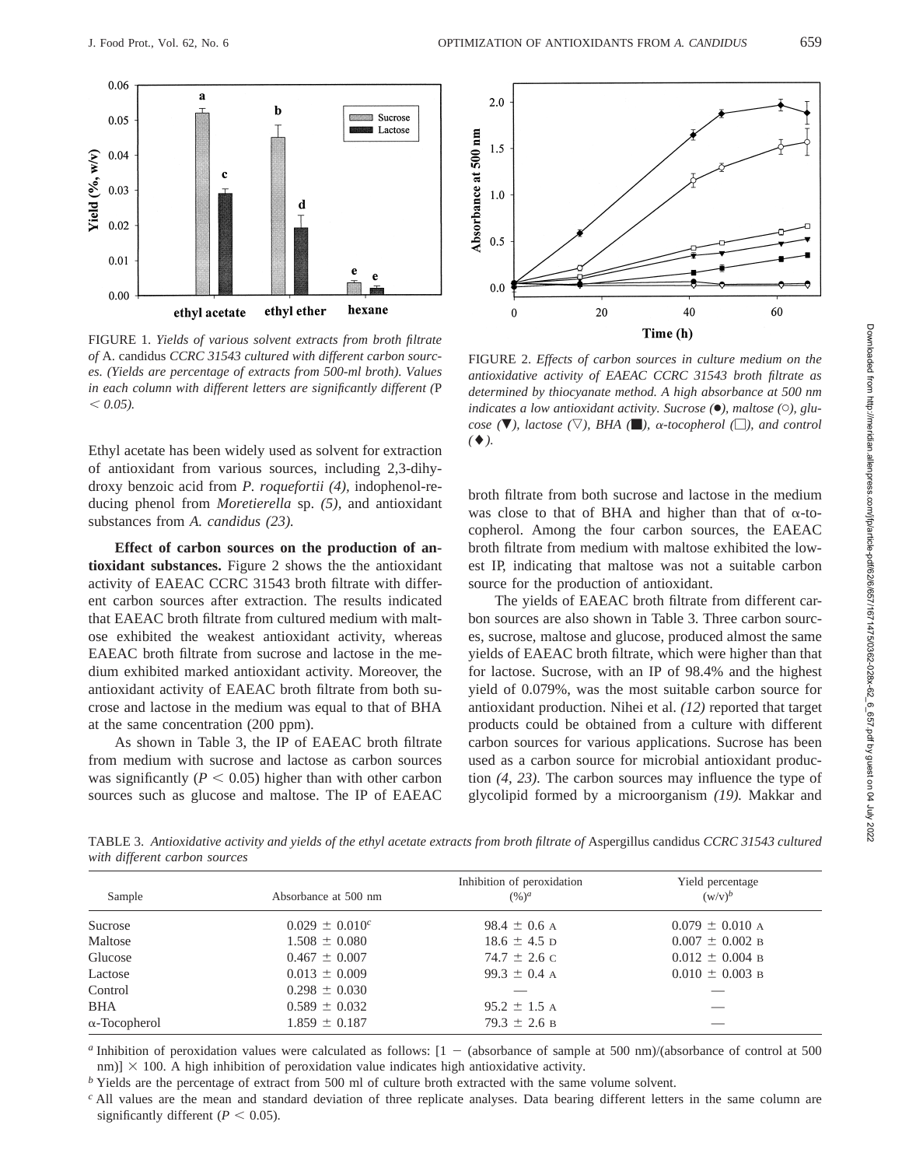

FIGURE 1. *Yields of various solvent extracts from broth filtrate of* A. candidus *CCRC 31543 cultured with different carbon sources. (Yields are percentage of extracts from 500-ml broth). Values in each column with different letters are significantly different (*P  $< 0.05$ ).

Ethyl acetate has been widely used as solvent for extraction of antioxidant from various sources, including 2,3-dihydroxy benzoic acid from *P. roquefortii (4),* indophenol-reducing phenol from *Moretierella* sp. *(5),* and antioxidant substances from *A. candidus (23).*

**Effect of carbon sources on the production of antioxidant substances.** Figure 2 shows the the antioxidant activity of EAEAC CCRC 31543 broth filtrate with different carbon sources after extraction. The results indicated that EAEAC broth filtrate from cultured medium with maltose exhibited the weakest antioxidant activity, whereas EAEAC broth filtrate from sucrose and lactose in the medium exhibited marked antioxidant activity. Moreover, the antioxidant activity of EAEAC broth filtrate from both sucrose and lactose in the medium was equal to that of BHA at the same concentration (200 ppm).

As shown in Table 3, the IP of EAEAC broth filtrate from medium with sucrose and lactose as carbon sources was significantly  $(P < 0.05)$  higher than with other carbon sources such as glucose and maltose. The IP of EAEAC



FIGURE 2. *Effects of carbon sources in culture medium on the antioxidative activity of EAEAC CCRC 31543 broth filtrate as determined by thiocyanate method. A high absorbance at 500 nm indicates a low antioxidant activity. Sucrose (*●*), maltose (*C*), glucose* ( $\nabla$ *), lactose* ( $\nabla$ *), BHA* ( $\Box$ *), a-tocopherol* ( $\Box$ *), and control*  $($   $\blacklozenge$   $)$ .

broth filtrate from both sucrose and lactose in the medium was close to that of BHA and higher than that of  $\alpha$ -tocopherol. Among the four carbon sources, the EAEAC broth filtrate from medium with maltose exhibited the lowest IP, indicating that maltose was not a suitable carbon source for the production of antioxidant.

The yields of EAEAC broth filtrate from different carbon sources are also shown in Table 3. Three carbon sources, sucrose, maltose and glucose, produced almost the same yields of EAEAC broth filtrate, which were higher than that for lactose. Sucrose, with an IP of 98.4% and the highest yield of 0.079%, was the most suitable carbon source for antioxidant production. Nihei et al. *(12)* reported that target products could be obtained from a culture with different carbon sources for various applications. Sucrose has been used as a carbon source for microbial antioxidant production *(4, 23).* The carbon sources may influence the type of glycolipid formed by a microorganism *(19).* Makkar and

TABLE 3. *Antioxidative activity and yields of the ethyl acetate extracts from broth filtrate of* Aspergillus candidus *CCRC 31543 cultured with different carbon sources*

| Sample               | Absorbance at 500 nm | Inhibition of peroxidation<br>$(\frac{9}{6})^a$ | Yield percentage<br>$(w/v)^b$ |
|----------------------|----------------------|-------------------------------------------------|-------------------------------|
| Sucrose              | $0.029 \pm 0.010^c$  | 98.4 $\pm$ 0.6 A                                | $0.079 \pm 0.010$ A           |
| Maltose              | $1.508 \pm 0.080$    | $18.6 \pm 4.5$ D                                | $0.007 \pm 0.002$ B           |
| Glucose              | $0.467 \pm 0.007$    | $74.7 \pm 2.6$ C                                | $0.012 \pm 0.004$ B           |
| Lactose              | $0.013 \pm 0.009$    | 99.3 $\pm$ 0.4 A                                | $0.010 \pm 0.003$ B           |
| Control              | $0.298 \pm 0.030$    |                                                 |                               |
| <b>BHA</b>           | $0.589 \pm 0.032$    | $95.2 \pm 1.5$ A                                |                               |
| $\alpha$ -Tocopherol | $1.859 \pm 0.187$    | $79.3 \pm 2.6$ B                                |                               |

*a* Inhibition of peroxidation values were calculated as follows:  $[1 - (absorbance of sample at 500 nm)/(absorbance of control at 500 nm)]$ nm)]  $\times$  100. A high inhibition of peroxidation value indicates high antioxidative activity.

*b* Yields are the percentage of extract from 500 ml of culture broth extracted with the same volume solvent.

*<sup>c</sup>* All values are the mean and standard deviation of three replicate analyses. Data bearing different letters in the same column are significantly different ( $P < 0.05$ ).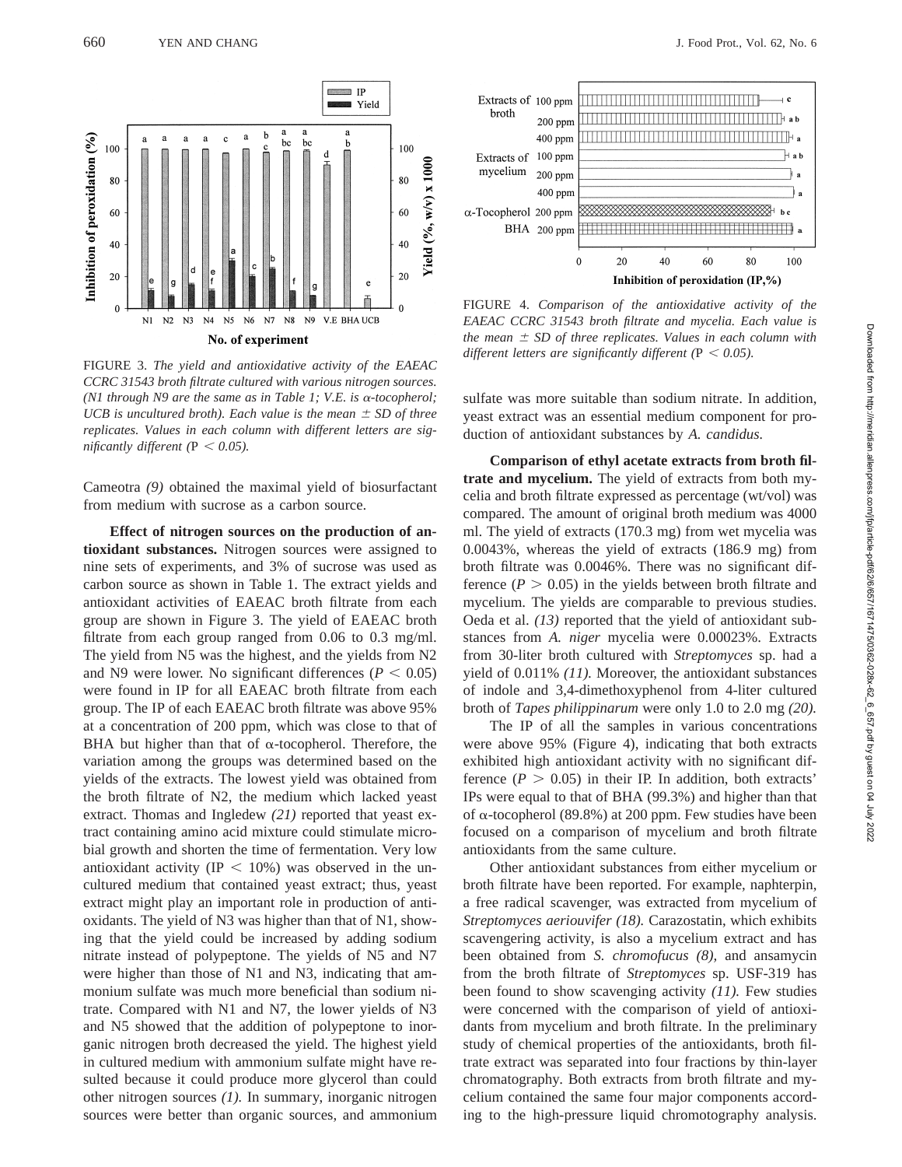

FIGURE 3. *The yield and antioxidative activity of the EAEAC CCRC 31543 broth filtrate cultured with various nitrogen sources. (N1 through N9 are the same as in Table 1; V.E. is* <sup>a</sup>*-tocopherol; UCB is uncultured broth). Each value is the mean*  $\pm$  *SD of three replicates. Values in each column with different letters are significantly different* ( $P < 0.05$ ).

Cameotra *(9)* obtained the maximal yield of biosurfactant from medium with sucrose as a carbon source.

**Effect of nitrogen sources on the production of antioxidant substances.** Nitrogen sources were assigned to nine sets of experiments, and 3% of sucrose was used as carbon source as shown in Table 1. The extract yields and antioxidant activities of EAEAC broth filtrate from each group are shown in Figure 3. The yield of EAEAC broth filtrate from each group ranged from 0.06 to 0.3 mg/ml. The yield from N5 was the highest, and the yields from N2 and N9 were lower. No significant differences  $(P < 0.05)$ were found in IP for all EAEAC broth filtrate from each group. The IP of each EAEAC broth filtrate was above 95% at a concentration of 200 ppm, which was close to that of BHA but higher than that of  $\alpha$ -tocopherol. Therefore, the variation among the groups was determined based on the yields of the extracts. The lowest yield was obtained from the broth filtrate of N2, the medium which lacked yeast extract. Thomas and Ingledew *(21)* reported that yeast extract containing amino acid mixture could stimulate microbial growth and shorten the time of fermentation. Very low antioxidant activity (IP  $<$  10%) was observed in the uncultured medium that contained yeast extract; thus, yeast extract might play an important role in production of antioxidants. The yield of N3 was higher than that of N1, showing that the yield could be increased by adding sodium nitrate instead of polypeptone. The yields of N5 and N7 were higher than those of N1 and N3, indicating that ammonium sulfate was much more beneficial than sodium nitrate. Compared with N1 and N7, the lower yields of N3 and N5 showed that the addition of polypeptone to inorganic nitrogen broth decreased the yield. The highest yield in cultured medium with ammonium sulfate might have resulted because it could produce more glycerol than could other nitrogen sources *(1).* In summary, inorganic nitrogen sources were better than organic sources, and ammonium



FIGURE 4. *Comparison of the antioxidative activity of the EAEAC CCRC 31543 broth filtrate and mycelia. Each value is the mean*  $\pm$  *SD of three replicates. Values in each column with different letters are significantly different* ( $P < 0.05$ ).

sulfate was more suitable than sodium nitrate. In addition, yeast extract was an essential medium component for production of antioxidant substances by *A. candidus.*

**Comparison of ethyl acetate extracts from broth filtrate and mycelium.** The yield of extracts from both mycelia and broth filtrate expressed as percentage (wt/vol) was compared. The amount of original broth medium was 4000 ml. The yield of extracts (170.3 mg) from wet mycelia was 0.0043%, whereas the yield of extracts (186.9 mg) from broth filtrate was 0.0046%. There was no significant difference  $(P > 0.05)$  in the yields between broth filtrate and mycelium. The yields are comparable to previous studies. Oeda et al. *(13)* reported that the yield of antioxidant substances from *A. niger* mycelia were 0.00023%. Extracts from 30-liter broth cultured with *Streptomyces* sp. had a yield of 0.011% *(11).* Moreover, the antioxidant substances of indole and 3,4-dimethoxyphenol from 4-liter cultured broth of *Tapes philippinarum* were only 1.0 to 2.0 mg *(20).*

The IP of all the samples in various concentrations were above 95% (Figure 4), indicating that both extracts exhibited high antioxidant activity with no significant difference ( $P > 0.05$ ) in their IP. In addition, both extracts' IPs were equal to that of BHA (99.3%) and higher than that of  $\alpha$ -tocopherol (89.8%) at 200 ppm. Few studies have been focused on a comparison of mycelium and broth filtrate antioxidants from the same culture.

Other antioxidant substances from either mycelium or broth filtrate have been reported. For example, naphterpin, a free radical scavenger, was extracted from mycelium of *Streptomyces aeriouvifer (18).* Carazostatin, which exhibits scavengering activity, is also a mycelium extract and has been obtained from *S. chromofucus (8),* and ansamycin from the broth filtrate of *Streptomyces* sp. USF-319 has been found to show scavenging activity *(11).* Few studies were concerned with the comparison of yield of antioxidants from mycelium and broth filtrate. In the preliminary study of chemical properties of the antioxidants, broth filtrate extract was separated into four fractions by thin-layer chromatography. Both extracts from broth filtrate and mycelium contained the same four major components according to the high-pressure liquid chromotography analysis.